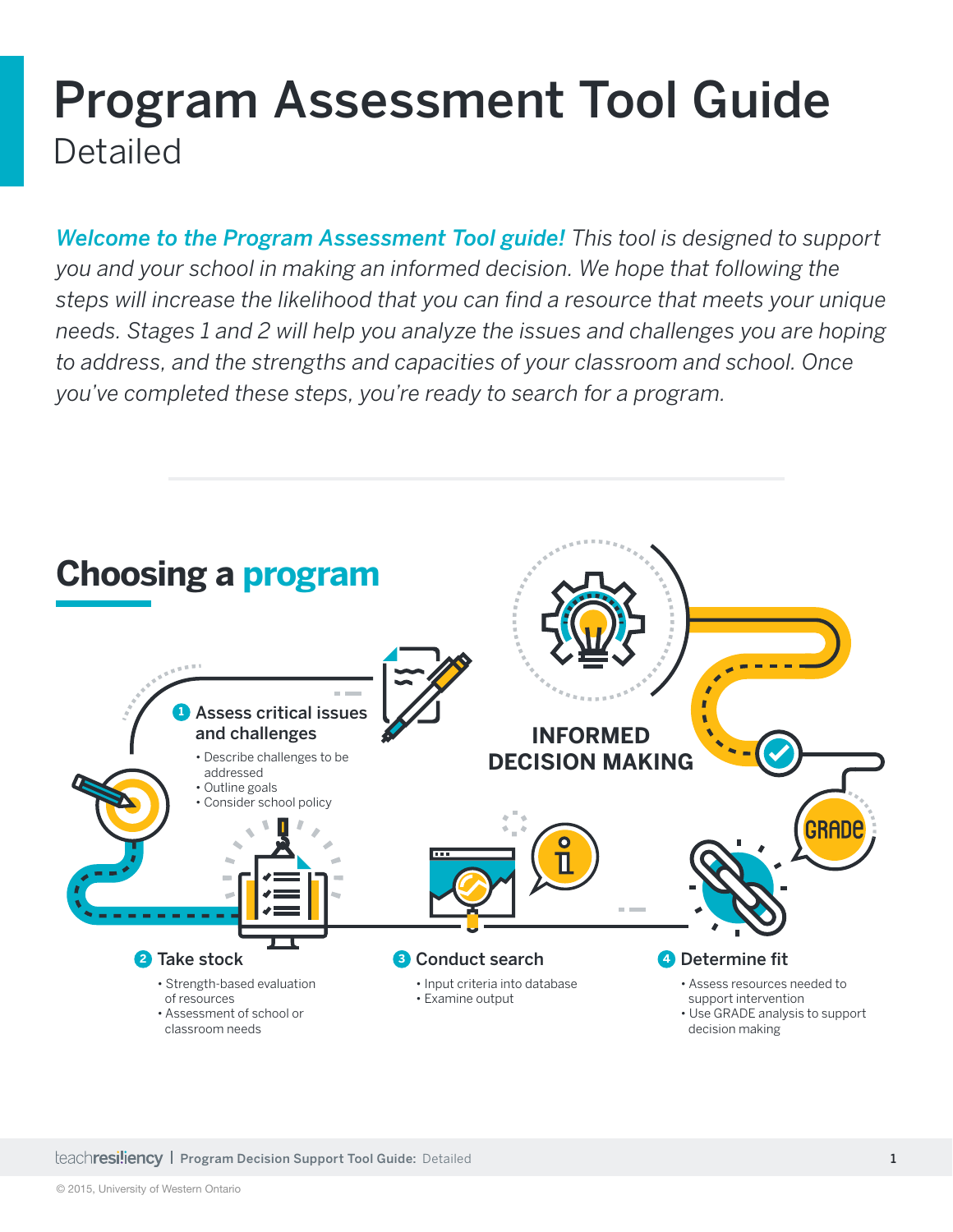# Program Assessment Tool Guide Detailed

*Welcome to the Program Assessment Tool guide! This tool is designed to support you and your school in making an informed decision. We hope that following the steps will increase the likelihood that you can fnd a resource that meets your unique needs. Stages 1 and 2 will help you analyze the issues and challenges you are hoping to address, and the strengths and capacities of your classroom and school. Once you've completed these steps, you're ready to search for a program.*

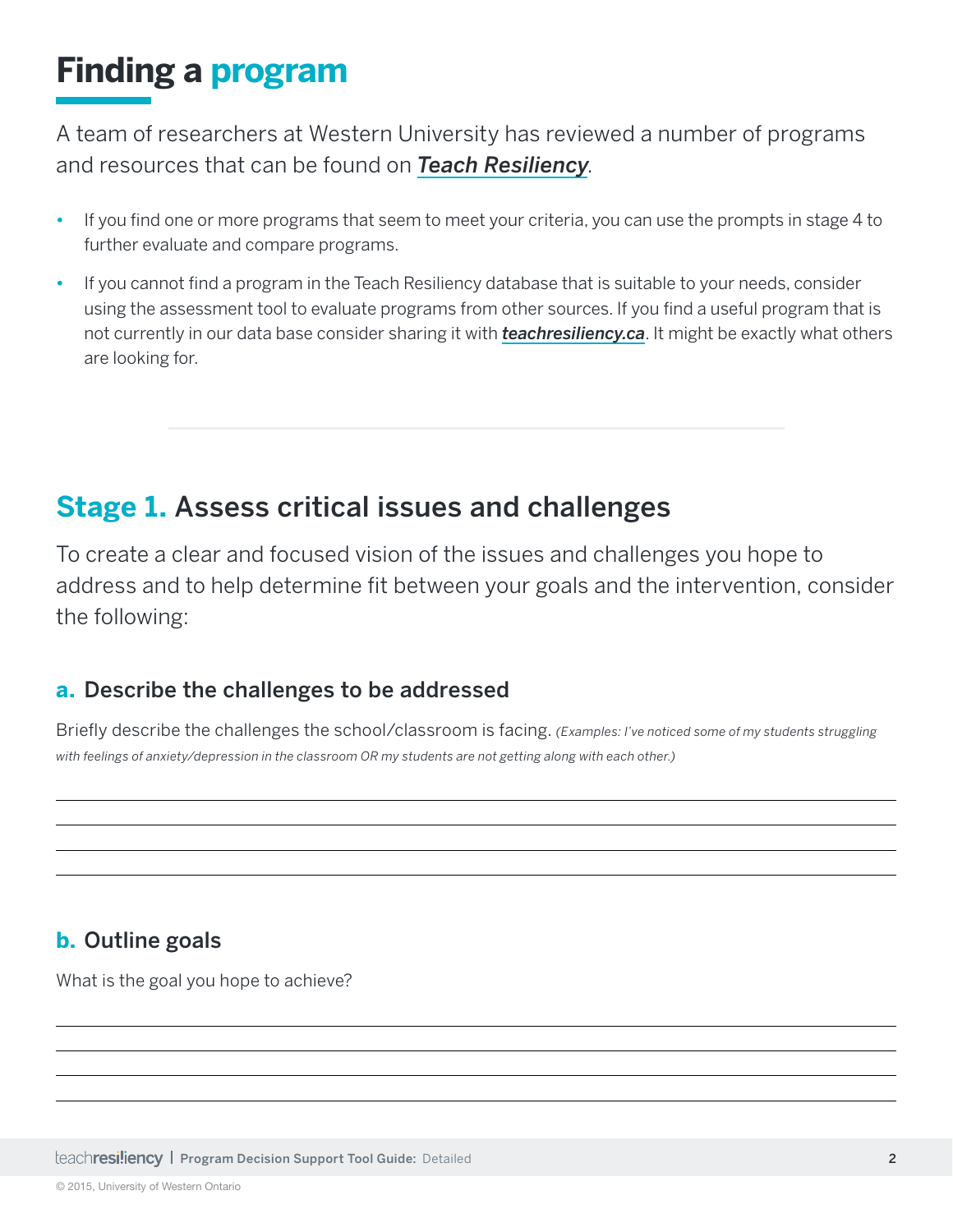## **Finding a program**

A team of researchers at Western University has reviewed a number of programs and resources that can be found on *[Teach Resiliency](http://www.teachresiliency.ca)*.

- If you find one or more programs that seem to meet your criteria, you can use the prompts in stage 4 to further evaluate and compare programs.
- **•** If you cannot fnd a program in the Teach Resiliency database that is suitable to your needs, consider using the assessment tool to evaluate programs from other sources. If you find a useful program that is not currently in our data base consider sharing it with *[teachresiliency.ca](http://www.teachresiliency.ca)*. It might be exactly what others are looking for.

### **Stage 1.** Assess critical issues and challenges

To create a clear and focused vision of the issues and challenges you hope to address and to help determine fit between your goals and the intervention, consider the following:

### **a.** Describe the challenges to be addressed

Briefy describe the challenges the school/classroom is facing. *(Examples: I've noticed some of my students struggling with feelings of anxiety/depression in the classroom OR my students are not getting along with each other.)*

### **b.** Outline goals

What is the goal you hope to achieve?

**Program Decision Support Tool Guide: Detailed 2 Program Decision Support Tool Guide: Detailed** 2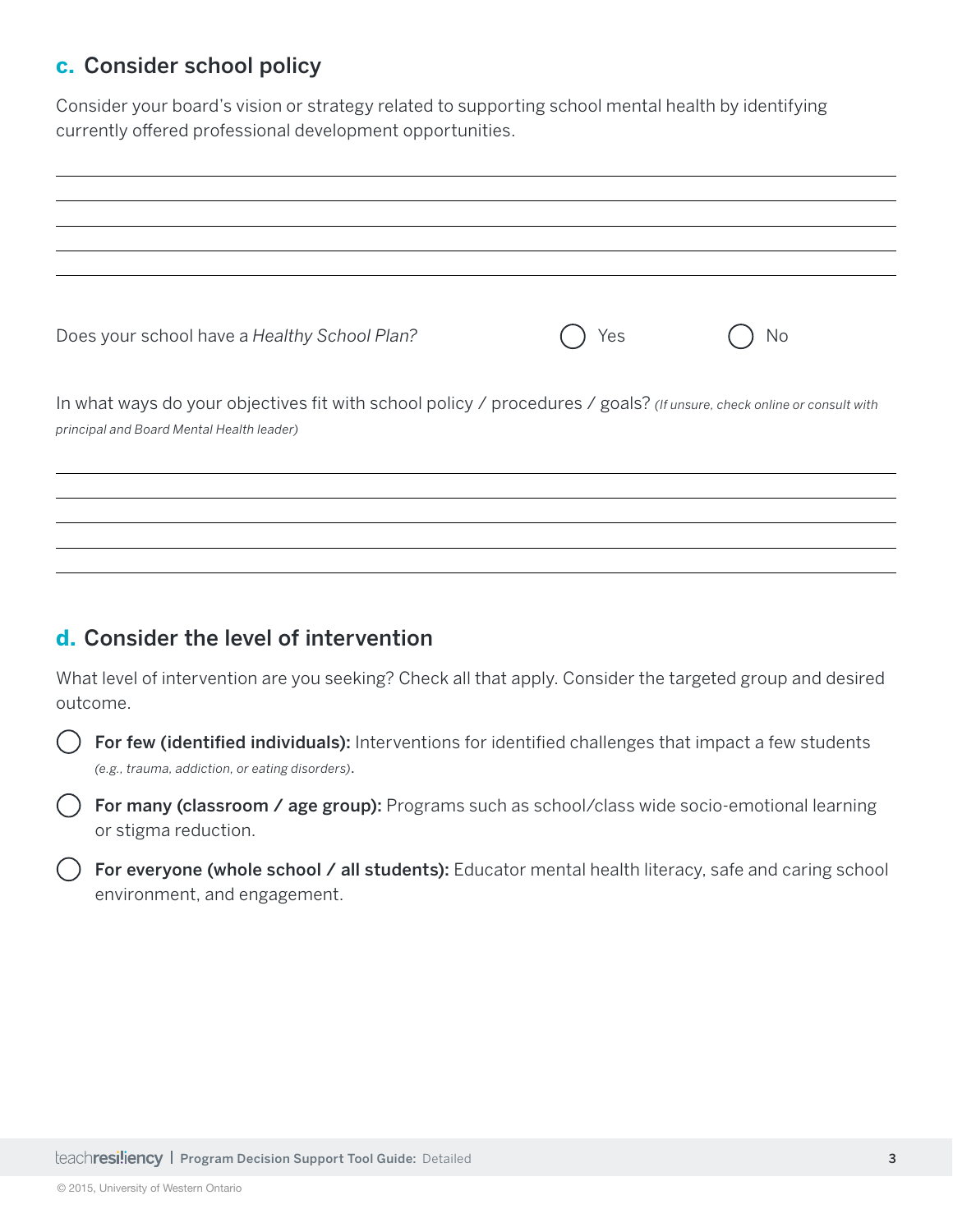#### **c.** Consider school policy

Consider your board's vision or strategy related to supporting school mental health by identifying currently offered professional development opportunities.

| Does your school have a Healthy School Plan?                                                                                                                       | Yes | No |
|--------------------------------------------------------------------------------------------------------------------------------------------------------------------|-----|----|
| In what ways do your objectives fit with school policy / procedures / goals? (If unsure, check online or consult with<br>principal and Board Mental Health leader) |     |    |
|                                                                                                                                                                    |     |    |

#### **d.** Consider the level of intervention

What level of intervention are you seeking? Check all that apply. Consider the targeted group and desired outcome.

 $($ ) For few (identified individuals): Interventions for identified challenges that impact a few students *(e.g., trauma, addiction, or eating disorders)*.

 For many (classroom / age group): Programs such as school/class wide socio-emotional learning or stigma reduction.

() For everyone (whole school / all students): Educator mental health literacy, safe and caring school environment, and engagement.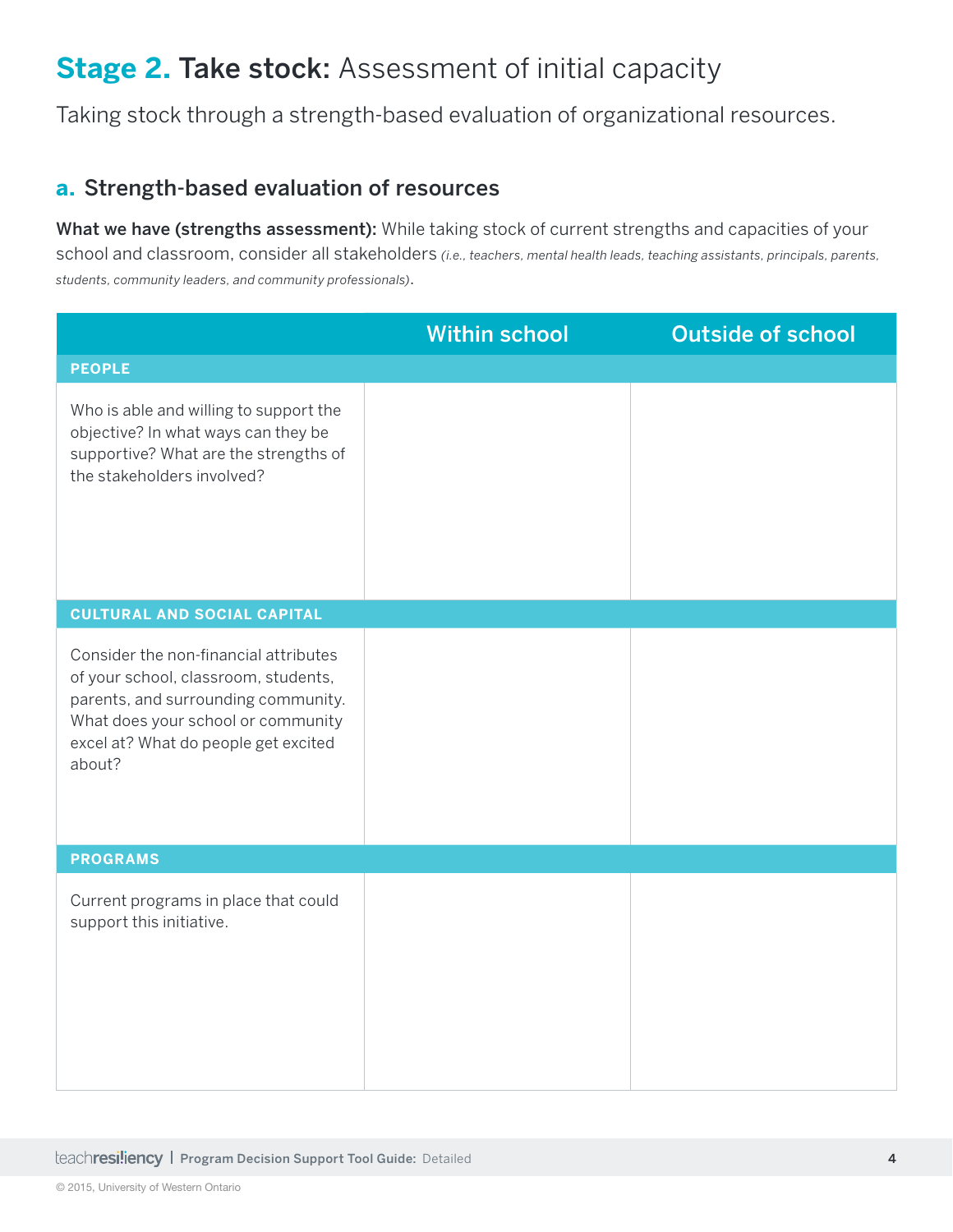### **Stage 2.** Take stock: Assessment of initial capacity

Taking stock through a strength-based evaluation of organizational resources.

#### **a.** Strength-based evaluation of resources

What we have (strengths assessment): While taking stock of current strengths and capacities of your school and classroom, consider all stakeholders *(i.e., teachers, mental health leads, teaching assistants, principals, parents, students, community leaders, and community professionals)*.

|                                                                                                                                                                                                              | <b>Within school</b> | <b>Outside of school</b> |
|--------------------------------------------------------------------------------------------------------------------------------------------------------------------------------------------------------------|----------------------|--------------------------|
| <b>PEOPLE</b>                                                                                                                                                                                                |                      |                          |
| Who is able and willing to support the<br>objective? In what ways can they be<br>supportive? What are the strengths of<br>the stakeholders involved?                                                         |                      |                          |
| <b>CULTURAL AND SOCIAL CAPITAL</b>                                                                                                                                                                           |                      |                          |
| Consider the non-financial attributes<br>of your school, classroom, students,<br>parents, and surrounding community.<br>What does your school or community<br>excel at? What do people get excited<br>about? |                      |                          |
| <b>PROGRAMS</b>                                                                                                                                                                                              |                      |                          |
| Current programs in place that could<br>support this initiative.                                                                                                                                             |                      |                          |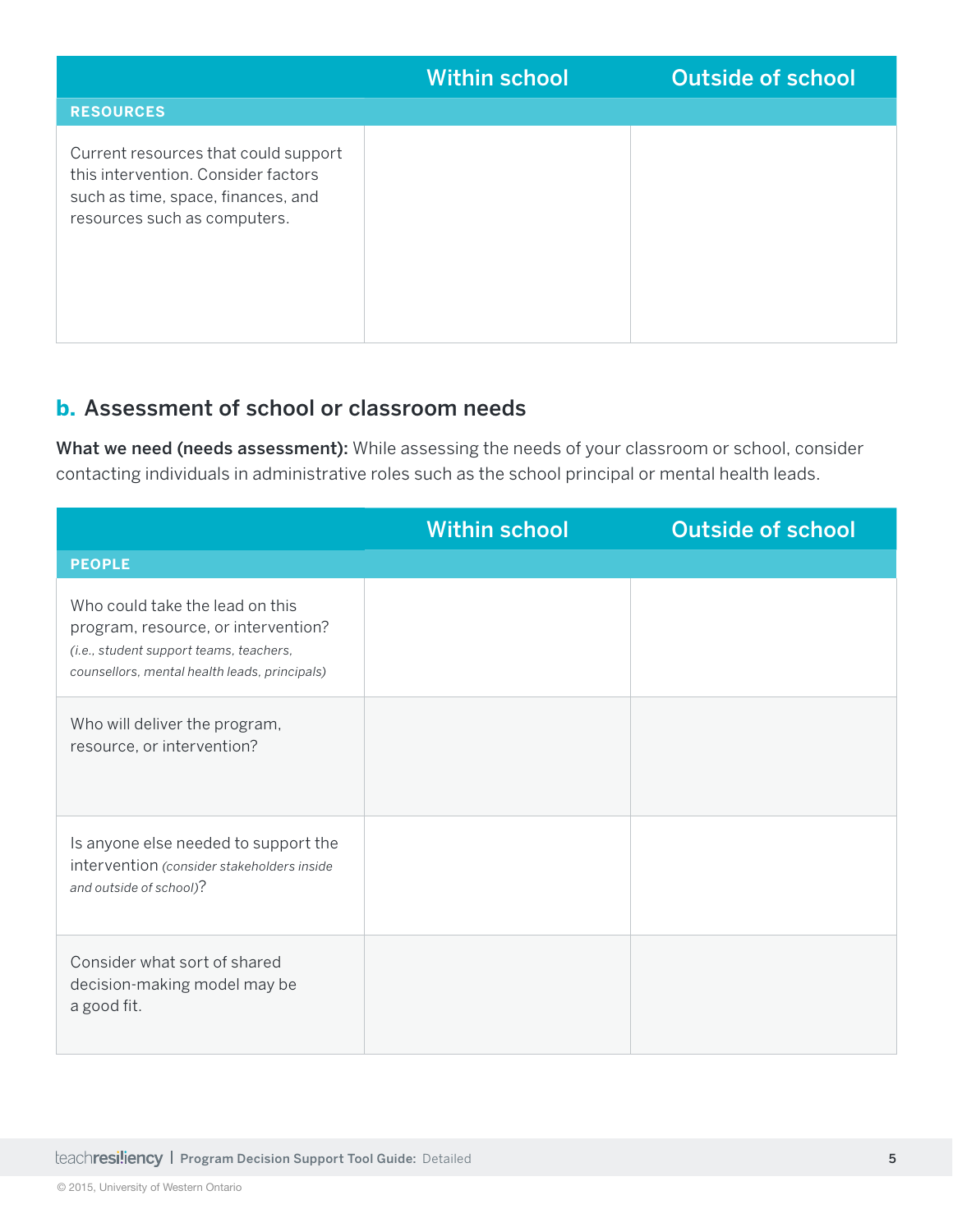|                                                                                                                                                   | <b>Within school</b> | <b>Outside of school</b> |
|---------------------------------------------------------------------------------------------------------------------------------------------------|----------------------|--------------------------|
| <b>RESOURCES</b>                                                                                                                                  |                      |                          |
| Current resources that could support<br>this intervention. Consider factors<br>such as time, space, finances, and<br>resources such as computers. |                      |                          |

#### **b.** Assessment of school or classroom needs

What we need (needs assessment): While assessing the needs of your classroom or school, consider contacting individuals in administrative roles such as the school principal or mental health leads.

|                                                                                                                                                                    | <b>Within school</b> | <b>Outside of school</b> |
|--------------------------------------------------------------------------------------------------------------------------------------------------------------------|----------------------|--------------------------|
| <b>PEOPLE</b>                                                                                                                                                      |                      |                          |
| Who could take the lead on this<br>program, resource, or intervention?<br>(i.e., student support teams, teachers,<br>counsellors, mental health leads, principals) |                      |                          |
| Who will deliver the program,<br>resource, or intervention?                                                                                                        |                      |                          |
| Is anyone else needed to support the<br>intervention (consider stakeholders inside<br>and outside of school)?                                                      |                      |                          |
| Consider what sort of shared<br>decision-making model may be<br>a good fit.                                                                                        |                      |                          |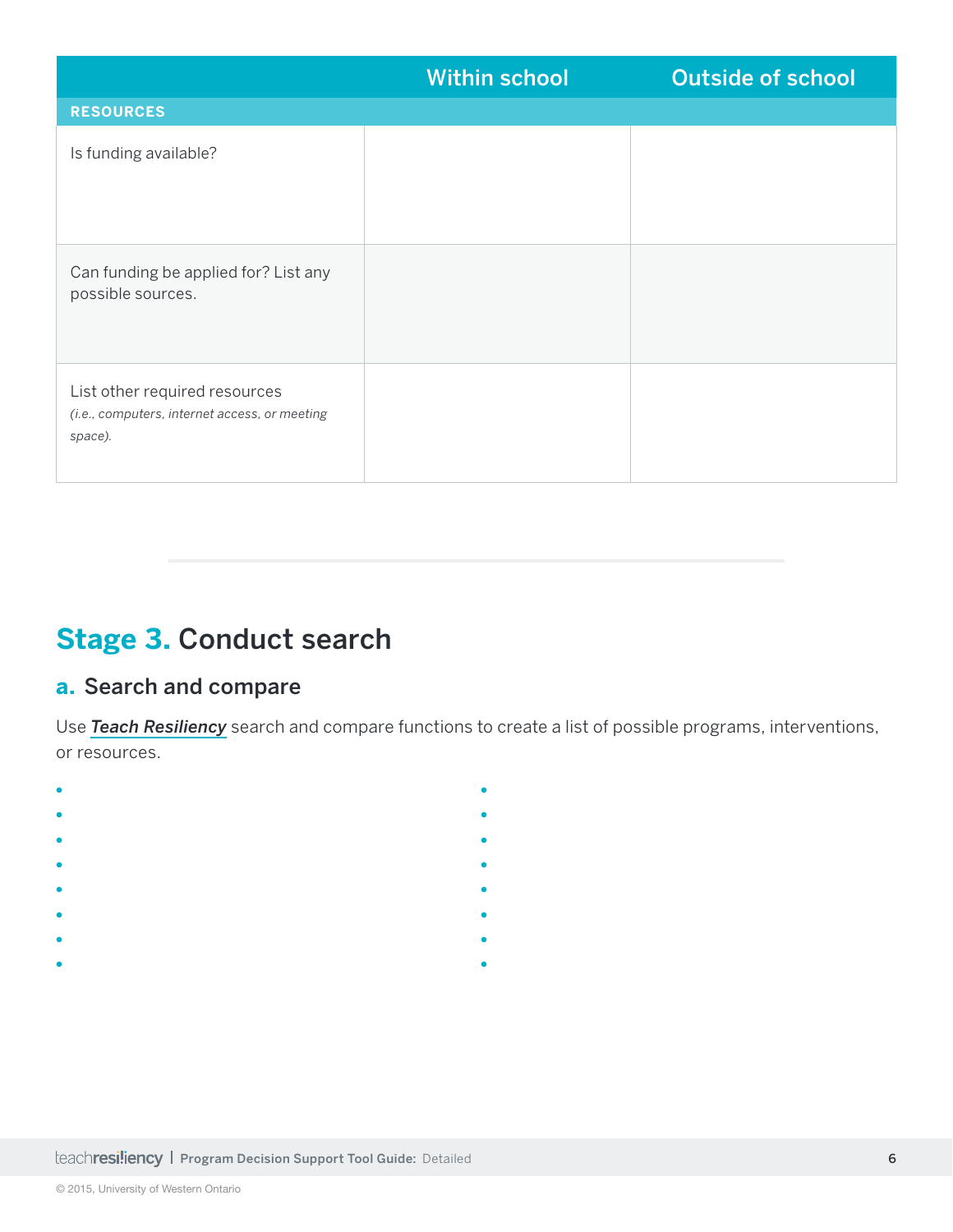|                                                                                           | <b>Within school</b> | <b>Outside of school</b> |
|-------------------------------------------------------------------------------------------|----------------------|--------------------------|
| <b>RESOURCES</b>                                                                          |                      |                          |
| Is funding available?                                                                     |                      |                          |
| Can funding be applied for? List any<br>possible sources.                                 |                      |                          |
| List other required resources<br>(i.e., computers, internet access, or meeting<br>space). |                      |                          |

### **Stage 3.** Conduct search

### **a.** Search and compare

Use *[Teach Resiliency](http://www.teachresiliency.ca)* search and compare functions to create a list of possible programs, interventions, or resources.

**•**

**•**

- **•**
- **•**
- **•**
- **•**
- **•**
- **•**
- **•**
- **•**
- **•**
	- **• •**
	-
	-
	- **•**
	-
	- **•**
- **•**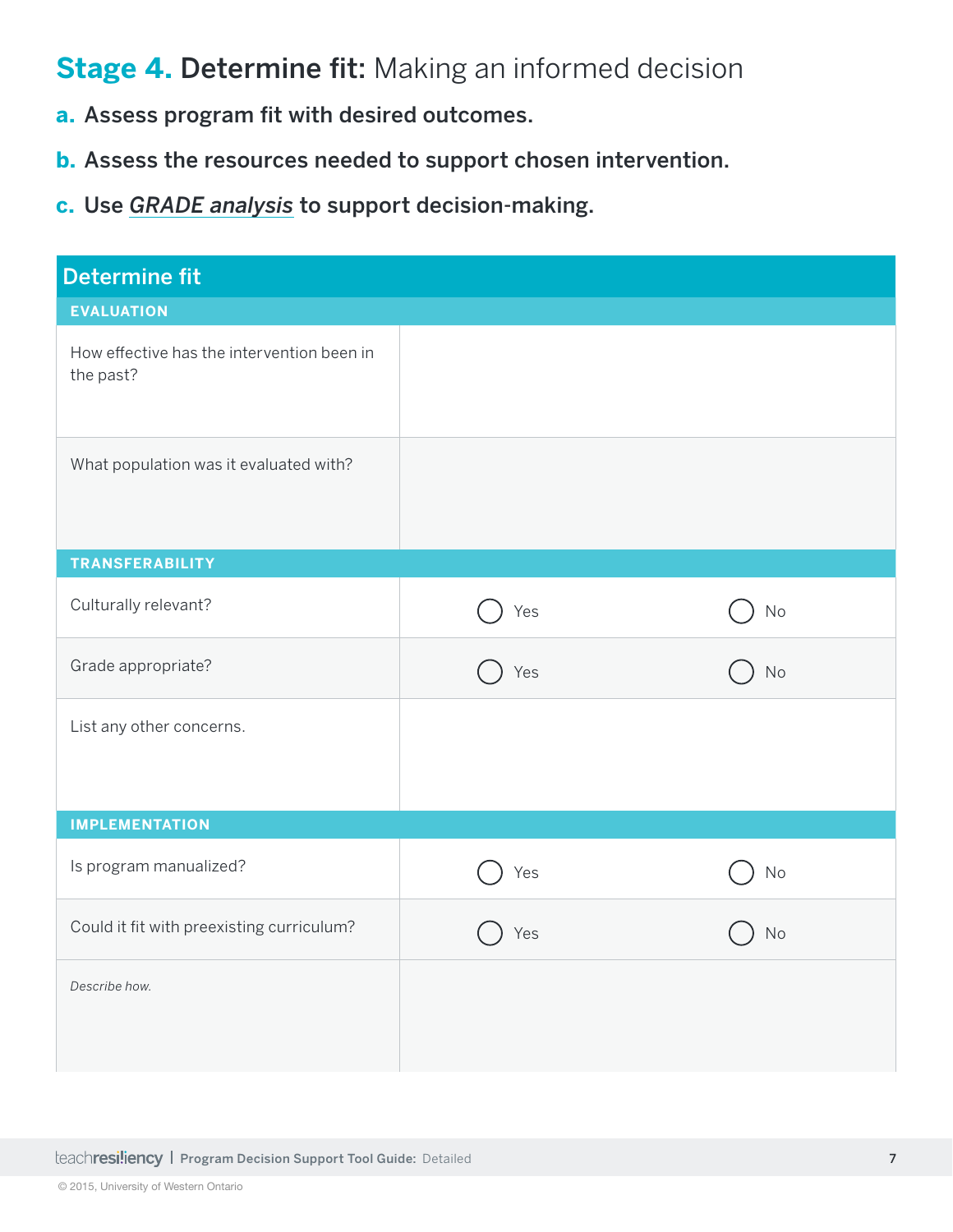### **Stage 4. Determine fit: Making an informed decision**

- **a.** Assess program fit with desired outcomes.
- **b.** Assess the resources needed to support chosen intervention.
- **c.** Use *[GRADE analysis](https://www.porticonetwork.ca/web/teach-resiliency/evaluating-programs)* to support decision-making.

| <b>Determine fit</b>                                    |     |          |
|---------------------------------------------------------|-----|----------|
| <b>EVALUATION</b>                                       |     |          |
| How effective has the intervention been in<br>the past? |     |          |
| What population was it evaluated with?                  |     |          |
| <b>TRANSFERABILITY</b>                                  |     |          |
| Culturally relevant?                                    | Yes | $\rm No$ |
| Grade appropriate?                                      | Yes | No       |
| List any other concerns.                                |     |          |
| <b>IMPLEMENTATION</b>                                   |     |          |
| Is program manualized?                                  | Yes | No       |
| Could it fit with preexisting curriculum?               | Yes | No       |
| Describe how.                                           |     |          |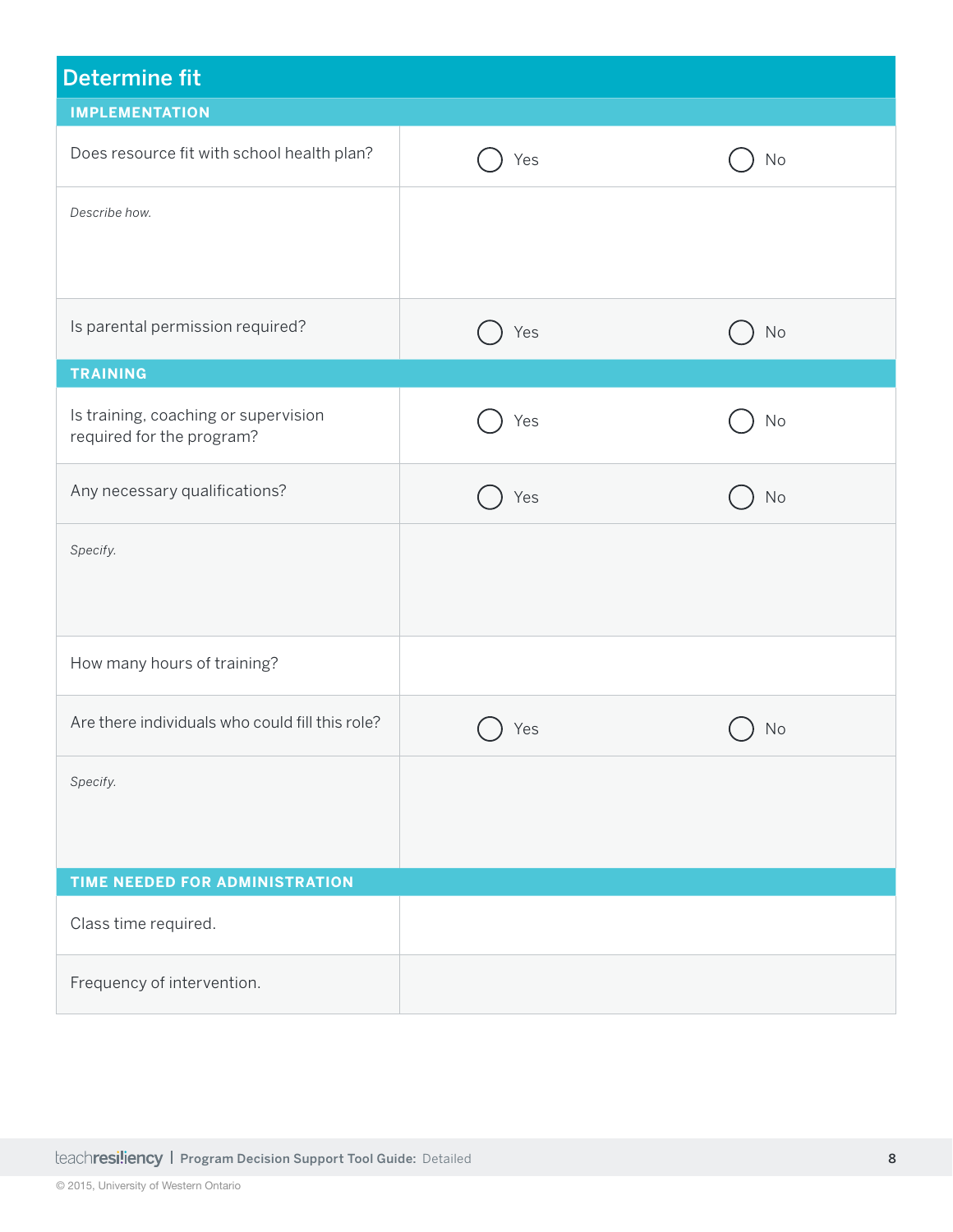| <b>Determine fit</b>                                              |     |               |
|-------------------------------------------------------------------|-----|---------------|
| <b>IMPLEMENTATION</b>                                             |     |               |
| Does resource fit with school health plan?                        | Yes | No            |
| Describe how.                                                     |     |               |
|                                                                   |     |               |
| Is parental permission required?                                  | Yes | $\mathsf{No}$ |
| <b>TRAINING</b>                                                   |     |               |
| Is training, coaching or supervision<br>required for the program? | Yes | No            |
| Any necessary qualifications?                                     | Yes | <b>No</b>     |
| Specify.                                                          |     |               |
| How many hours of training?                                       |     |               |
| Are there individuals who could fill this role?                   | Yes | No            |
| Specify.                                                          |     |               |
| TIME NEEDED FOR ADMINISTRATION                                    |     |               |
| Class time required.                                              |     |               |
| Frequency of intervention.                                        |     |               |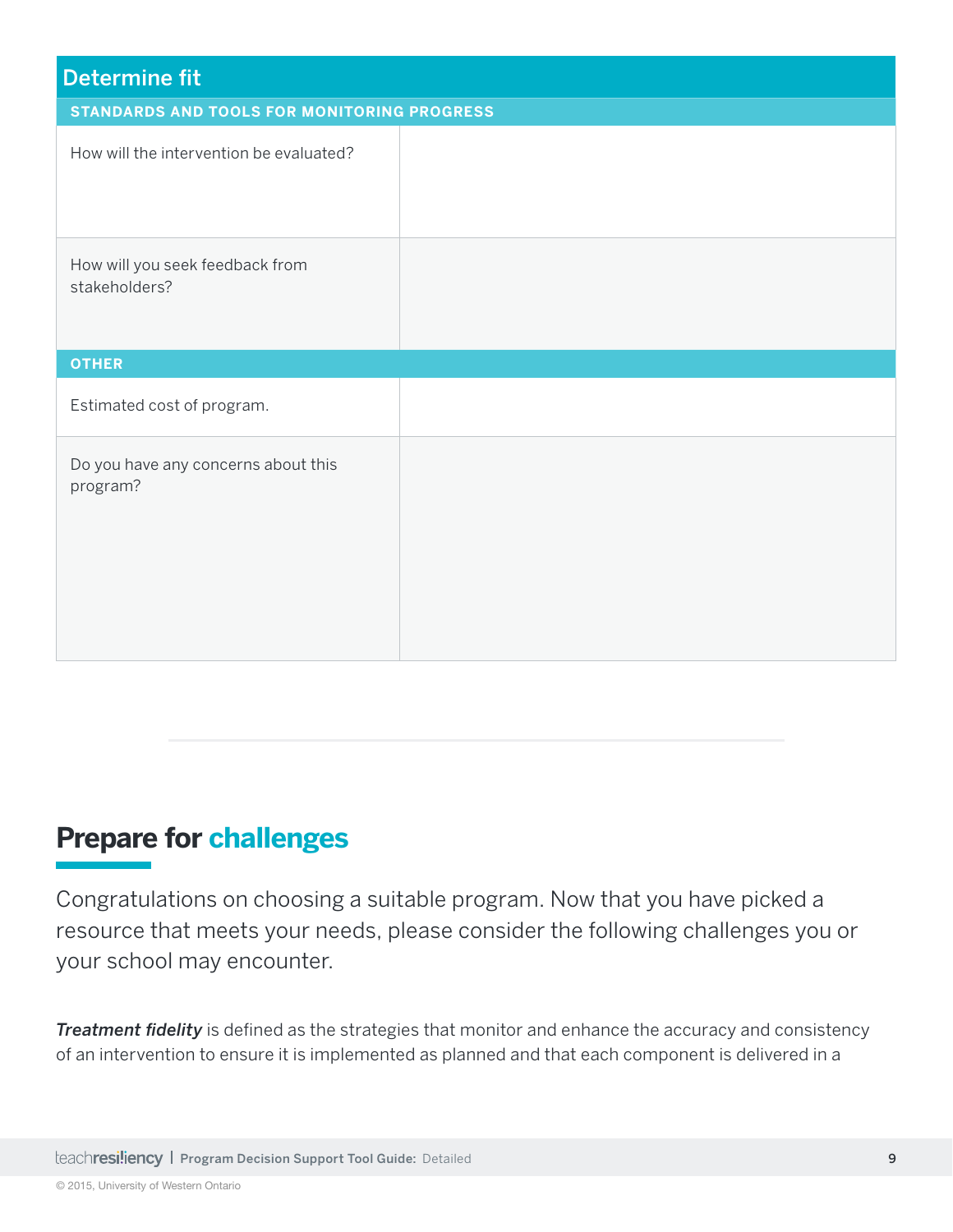| <b>Determine fit</b>                               |  |
|----------------------------------------------------|--|
| <b>STANDARDS AND TOOLS FOR MONITORING PROGRESS</b> |  |
| How will the intervention be evaluated?            |  |
| How will you seek feedback from<br>stakeholders?   |  |
| <b>OTHER</b>                                       |  |
| Estimated cost of program.                         |  |
| Do you have any concerns about this<br>program?    |  |

### **Prepare for challenges**

Congratulations on choosing a suitable program. Now that you have picked a resource that meets your needs, please consider the following challenges you or your school may encounter.

*Treatment fidelity* is defined as the strategies that monitor and enhance the accuracy and consistency of an intervention to ensure it is implemented as planned and that each component is delivered in a